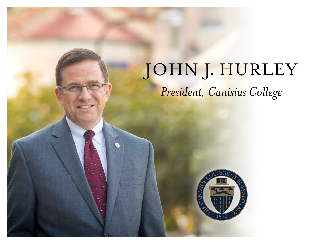## JOHN J. HURLEY *President, Canisius College*

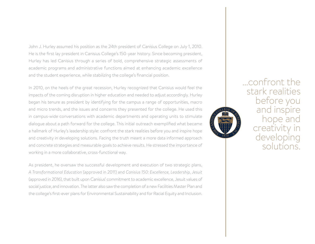John J. Hurley assumed his position as the 24th president of Canisius College on July 1, 2010. He is the first lay president in Canisius College's 150-year history. Since becoming president, Hurley has led Canisius through a series of bold, comprehensive strategic assessments of academic programs and administrative functions aimed at enhancing academic excellence and the student experience, while stabilizing the college's financial position.

In 2010, on the heels of the great recession, Hurley recognized that Canisius would feel the impacts of the coming disruption in higher education and needed to adjust accordingly. Hurley began his tenure as president by identifying for the campus a range of opportunities, macro and micro trends, and the issues and concerns they presented for the college. He used this in campus-wide conversations with academic departments and operating units to stimulate dialogue about a path forward for the college. This initial outreach exemplified what became a hallmark of Hurley's leadership style: confront the stark realities before you and inspire hope and creativity in developing solutions. Facing the truth meant a more data informed approach and concrete strategies and measurable goals to achieve results. He stressed the importance of working in a more collaborative, cross-functional way.

As president, he oversaw the successful development and execution of two strategic plans, *A Transformational Education* (approved in 2011) and *Canisius 150: Excellence, Leadership, Jesuit* (approved in 2016), that built upon Canisius' commitment to academic excellence, Jesuit values of social justice, and innovation. The latter also saw the completion of a new Facilities Master Plan and the college's first-ever plans for Environmental Sustainability and for Racial Equity and Inclusion.



...confront the stark realities before you and inspire hope and creativity in developing solutions.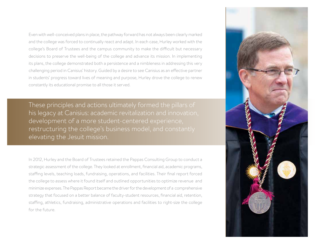Even with well-conceived plans in place, the pathway forward has not always been clearly marked and the college was forced to continually react and adapt. In each case, Hurley worked with the college's Board of Trustees and the campus community to make the difficult but necessary decisions to preserve the well-being of the college and advance its mission. In implementing its plans, the college demonstrated both a persistence and a nimbleness in addressing this very challenging period in Canisius' history. Guided by a desire to see Canisius as an effective partner in students' progress toward lives of meaning and purpose, Hurley drove the college to renew constantly its educational promise to all those it served.

These principles and actions ultimately formed the pillars of his legacy at Canisius: academic revitalization and innovation, development of a more student-centered experience, restructuring the college's business model, and constantly elevating the Jesuit mission.

In 2012, Hurley and the Board of Trustees retained the Pappas Consulting Group to conduct a strategic assessment of the college. They looked at enrollment, financial aid, academic programs, staffing levels, teaching loads, fundraising, operations, and facilities. Their final report forced the college to assess where it found itself and outlined opportunities to optimize revenue and minimize expenses. The Pappas Report became the driver for the development of a comprehensive strategy that focused on a better balance of faculty-student resources, financial aid, retention, staffing, athletics, fundraising, administrative operations and facilities to right-size the college for the future.

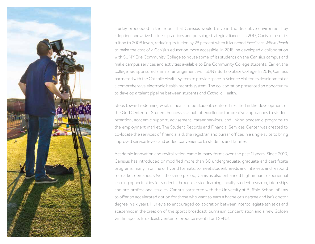

Hurley proceeded in the hopes that Canisius would thrive in the disruptive environment by adopting innovative business practices and pursuing strategic alliances. In 2017, Canisius reset its tuition to 2008 levels, reducing its tuition by 23 percent when it launched *Excellence Within Reach* to make the cost of a Canisius education more accessible. In 2018, he developed a collaboration with SUNY Erie Community College to house some of its students on the Canisius campus and make campus services and activities available to Erie Community College students. Earlier, the college had sponsored a similar arrangement with SUNY Buffalo State College. In 2019, Canisius partnered with the Catholic Health System to provide space in Science Hall for its development of a comprehensive electronic health records system. The collaboration presented an opportunity to develop a talent pipeline between students and Catholic Health.

Steps toward redefining what it means to be student-centered resulted in the development of the GriffCenter for Student Success as a hub of excellence for creative approaches to student retention, academic support, advisement, career services, and linking academic programs to the employment market. The Student Records and Financial Services Center was created to co-locate the services of financial aid, the registrar, and bursar offices in a single suite to bring improved service levels and added convenience to students and families.

Academic innovation and revitalization came in many forms over the past 11 years. Since 2010, Canisius has introduced or modified more than 50 undergraduate, graduate and certificate programs, many in online or hybrid formats, to meet student needs and interests and respond to market demands. Over the same period, Canisius also enhanced high-impact experiential learning opportunities for students through service-learning, faculty-student research, internships and pre-professional studies. Canisus partnered with the University at Buffalo School of Law to offer an accelerated option for those who want to earn a bachelor's degree and *juris* doctor degree in six years. Hurley also encouraged collaboration between intercollegiate athletics and academics in the creation of the sports broadcast journalism concentration and a new Golden Griffin Sports Broadcast Center to produce events for ESPN3.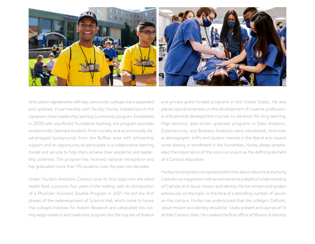

Articulation agreements with key community colleges were expanded and updated. In partnership with faculty, Hurley helped launch the signature Urban Leadership Learning Community program. Established in 2000 with significant foundation backing, the program provides academically talented students from socially and economically disadvantaged backgrounds from the Buffalo area with scholarship support and an opportunity to participate in a collaborative learning model and service to help them achieve their academic and leadership potential. The program has received national recognition and has graduated more than 170 students over the past two decades.

Under Hurley's direction, Canisius took its first steps into the allied health field, a process four years in the making, with its introduction of a Physician Assistant Studies Program in 2021. He led the first phases of the redevelopment of Science Hall, which came to house the college's Institute for Autism Research and catapulted this cutting-edge research and treatment program into the top tier of federal

and private grant-funded programs in the United States. He also placed special emphasis on the development of creative professional and personal development courses to advance life-long learning. High-demand, data-driven graduate programs in Data Analytics, Cybersecurity, and Business Analytics were introduced. And even as demographic shifts and student interest in the liberal arts caused some slowing in enrollment in the humanities, Hurley always emphasized the importance of the core curriculum as the defining element of a Canisius education.

Hurley has long been recognized within the Jesuit network and among Catholics as a layperson with an extraordinary depth of understanding of Catholic and Jesuit mission and identity. He has written and spoken extensively on the topic. In the face of a dwindling number of Jesuits on the campus, Hurley has underscored that the college's Catholic, Jesuit mission and identity should be "vitally present and operative" in all that Canisius does. He created the first office of Mission & Identity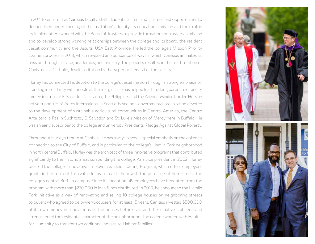in 2011 to ensure that Canisius faculty, staff, students, alumni and trustees had opportunities to deepen their understanding of the institution's identity, its educational mission and their roll in its fulfillment. He worked with the Board of Trustees to provide formation for trustees in mission and to develop strong working relationships between the college and its board, the resident Jesuit community and the Jesuits' USA East Province. He led the college's Mission Priority Examen process in 2018, which revealed an abundance of ways in which Canisius animates its mission through service, academics, and ministry. The process resulted in the reaffirmation of Canisius as a Catholic, Jesuit institution by the Superior General of the Jesuits.

Hurley has connected his devotion to the college's Jesuit mission through a strong emphasis on standing in solidarity with people at the margins. He has helped lead student, parent and faculty immersion trips to El Salvador, Nicaragua, the Philippines and the Arizona-Mexico border. He is an active supporter of Agros International, a Seattle-based non-governmental organization devoted to the development of sustainable agricultural communities in Central America, the Centro Arte para la Paz in Suchitoto, El Salvador, and St. Luke's Mission of Mercy here in Buffalo. He was an early subscriber to the college and university Presidents' Pledge Against Global Poverty.

Throughout Hurley's tenure at Canisius, he has always placed a special emphasis on the college's connection to the City of Buffalo, and in particular, to the college's Hamlin Park neighborhood in north central Buffalo. Hurley was the architect of three innovative programs that contributed significantly to the historic areas surrounding the college. As a vice president in 2002, Hurley created the college's innovative Employer Assisted Housing Program, which offers employees grants in the form of forgivable loans to assist them with the purchase of homes near the college's central Buffalo campus. Since its inception, 49 employees have benefited from the program with more than \$270,000 in loan funds distributed. In 2010, he announced the Hamlin Park Initiative as a way of renovating and selling 10 college houses on neighboring streets to buyers who agreed to be owner-occupiers for at least 15 years. Canisius invested \$500,000 of its own money in renovations of the houses before sale and the initiative stabilized and strengthened the residential character of the neighborhood. The college worked with Habitat for Humanity to transfer two additional houses to Habitat families.

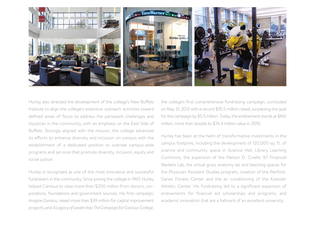

Hurley also directed the development of the college's New Buffalo Institute to align the college's extensive outreach activities toward defined areas of focus to address the persistent challenges and injustices in the community, with an emphasis on the East Side of Buffalo. Strongly aligned with the mission, the college advanced its efforts to enhance diversity and inclusion on campus with the establishment of a dedicated position to oversee campus-wide programs and services that promote diversity, inclusion, equity and social justice.

Hurley is recognized as one of the most innovative and successful fundraisers in the community. Since joining the college in 1997, Hurley helped Canisius to raise more than \$200 million from donors, corporations, foundations and government sources. His first campaign, *Imagine Canisius,* raised more than \$39 million for capital improvement projects, and *A Legacy of Leadership: The Campaign for Canisius College,*

the college's first comprehensive fundraising campaign, concluded on May 31, 2012 with a record \$95.5 million raised, surpassing the goal for the campaign by \$5.5 million. Today, the endowment stands at \$160 million, more than double its \$74.4 million value in 2010.

Hurley has been at the helm of transformative investments in the campus footprint, including the development of 120,000 sq. ft. of science and community space in Science Hall, Library Learning Commons, the expansion of the Nelson D. Civello '67 Financial Markets Lab, the virtual gross anatomy lab and teaching spaces for the Physician Assistant Studies program, creation of the Penfold-Gareis Fitness Center and the air conditioning of the Koessler Athletic Center. His fundraising led to a significant expansion of endowments for financial aid scholarships and programs, and academic innovation that are a hallmark of an excellent university.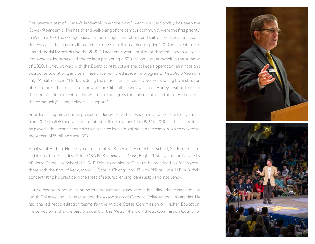The greatest test of Hurley's leadership over the past 11 years unquestionably has been the Covid-19 pandemic. The health and well-being of the campus community were the first priority. In March 2020, the college paused all on-campus operations and shifted to its academic contingency plan that caused all students to move to online learning in spring 2020 and eventually to a multi-modal format during the 2020-21 academic year. Enrollment shortfalls, revenue losses and expense increases had the college projecting a \$20 million budget deficit in the summer of 2020. Hurley worked with the Board to restructure the college's operation, eliminate and outsource operations, and terminate under-enrolled academic programs. *The Buffalo News* in a July 24 editorial said, "Hurley is doing the difficult but necessary work of shaping the institution of the future. If he doesn't do it now, a more difficult job will await later. Hurley is willing to enact the kind of bold reinvention that will sustain and grow the college into the future. He deserves the community's – and college's – support."

Prior to his appointment as president, Hurley served as executive vice president of Canisius from 2007 to 2010 and vice president for college relations from 1997 to 2010. In these positions, he played a significant leadership role in the college's investment in the campus, which now totals more than \$175 million since 1997.

A native of Buffalo, Hurley is a graduate of St. Benedict's Elementary School, St. Joseph's Collegiate Institute, Canisius College (BA 1978 *summa cum laude,* English/history) and the University of Notre Dame Law School (JD 1981). Prior to coming to Canisius, he practiced law for 16 years, three with the firm of Keck, Mahin & Cate in Chicago and 13 with Phillips, Lytle LLP in Buffalo concentrating his practice in the areas of secured lending, bankruptcy and insolvency.

Hurley has been active in numerous educational associations including the Association of Jesuit Colleges and Universities and the Association of Catholic Colleges and Universities. He has chaired reaccreditation teams for the Middle States Commission on Higher Education. He serves on and is the past president of the Metro Atlantic Athletic Commission Council of